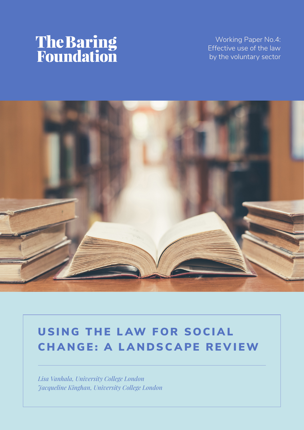# **The Baring<br>Foundation**

Working Paper No.4: Effective use of the law by the voluntary sector



# USING THE LAW FOR SOCIAL CHANGE: A LANDSCAPE REVIEW

*Lisa Vanhala, University College London Jacqueline Kinghan, University College London*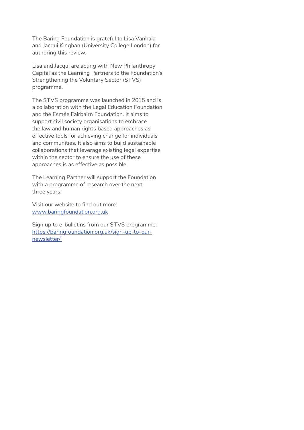The Baring Foundation is grateful to Lisa Vanhala and Jacqui Kinghan (University College London) for authoring this review.

Lisa and Jacqui are acting with New Philanthropy Capital as the Learning Partners to the Foundation's Strengthening the Voluntary Sector (STVS) programme.

The STVS programme was launched in 2015 and is a collaboration with the Legal Education Foundation and the Esmée Fairbairn Foundation. It aims to support civil society organisations to embrace the law and human rights based approaches as effective tools for achieving change for individuals and communities. It also aims to build sustainable collaborations that leverage existing legal expertise within the sector to ensure the use of these approaches is as effective as possible.

The Learning Partner will support the Foundation with a programme of research over the next three years.

Visit our website to find out more: [www.baringfoundation.org.uk](http://www.baringfoundation.org.uk)

Sign up to e-bulletins from our STVS programme: [https://baringfoundation.org.uk/sign-up-to-our](https://baringfoundation.org.uk/sign-up-to-our-newsletter/ )[newsletter/](https://baringfoundation.org.uk/sign-up-to-our-newsletter/ )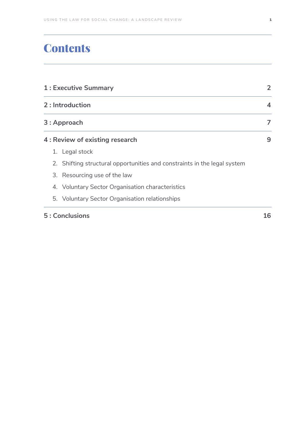# **Contents**

| 1 : Executive Summary<br>2 : Introduction<br>3: Approach<br>4 : Review of existing research |                                                  | 4<br>7<br>9 |  |                                                                          |  |
|---------------------------------------------------------------------------------------------|--------------------------------------------------|-------------|--|--------------------------------------------------------------------------|--|
|                                                                                             |                                                  |             |  | 1. Legal stock                                                           |  |
|                                                                                             |                                                  |             |  | 2. Shifting structural opportunities and constraints in the legal system |  |
|                                                                                             |                                                  |             |  | 3. Resourcing use of the law                                             |  |
|                                                                                             | 4. Voluntary Sector Organisation characteristics |             |  |                                                                          |  |
|                                                                                             | 5. Voluntary Sector Organisation relationships   |             |  |                                                                          |  |
| 5: Conclusions                                                                              |                                                  | 16          |  |                                                                          |  |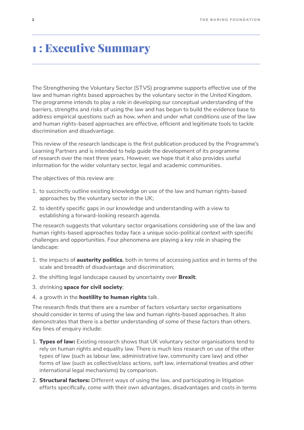# <span id="page-3-0"></span>1 : Executive Summary

The Strengthening the Voluntary Sector (STVS) programme supports effective use of the law and human rights based approaches by the voluntary sector in the United Kingdom. The programme intends to play a role in developing our conceptual understanding of the barriers, strengths and risks of using the law and has begun to build the evidence base to address empirical questions such as how, when and under what conditions use of the law and human rights-based approaches are effective, efficient and legitimate tools to tackle discrimination and disadvantage.

This review of the research landscape is the first publication produced by the Programme's Learning Partners and is intended to help guide the development of its programme of research over the next three years. However, we hope that it also provides useful information for the wider voluntary sector, legal and academic communities.

The objectives of this review are:

- 1. to succinctly outline existing knowledge on use of the law and human rights-based approaches by the voluntary sector in the UK;
- 2. to identify specific gaps in our knowledge and understanding with a view to establishing a forward-looking research agenda.

The research suggests that voluntary sector organisations considering use of the law and human rights-based approaches today face a unique socio-political context with specific challenges and opportunities. Four phenomena are playing a key role in shaping the landscape:

- 1. the impacts of **austerity politics**, both in terms of accessing justice and in terms of the scale and breadth of disadvantage and discrimination;
- 2. the shifting legal landscape caused by uncertainty over **Brexit**;
- 3. shrinking space for civil society;
- 4. a growth in the **hostility to human rights** talk.

The research finds that there are a number of factors voluntary sector organisations should consider in terms of using the law and human rights-based approaches. It also demonstrates that there is a better understanding of some of these factors than others. Key lines of enquiry include:

- 1. Types of law: Existing research shows that UK voluntary sector organisations tend to rely on human rights and equality law. There is much less research on use of the other types of law (such as labour law, administrative law, community care law) and other forms of law (such as collective/class actions, soft law, international treaties and other international legal mechanisms) by comparison.
- 2. **Structural factors:** Different ways of using the law, and participating in litigation efforts specifically, come with their own advantages, disadvantages and costs in terms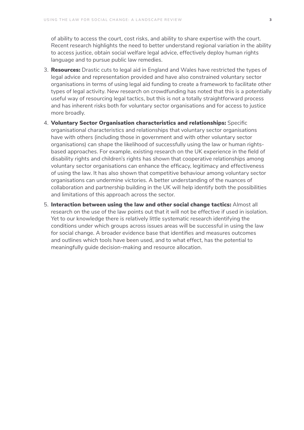of ability to access the court, cost risks, and ability to share expertise with the court. Recent research highlights the need to better understand regional variation in the ability to access justice, obtain social welfare legal advice, effectively deploy human rights language and to pursue public law remedies.

- 3. **Resources:** Drastic cuts to legal aid in England and Wales have restricted the types of legal advice and representation provided and have also constrained voluntary sector organisations in terms of using legal aid funding to create a framework to facilitate other types of legal activity. New research on crowdfunding has noted that this is a potentially useful way of resourcing legal tactics, but this is not a totally straightforward process and has inherent risks both for voluntary sector organisations and for access to justice more broadly.
- 4. Voluntary Sector Organisation characteristics and relationships: Specific organisational characteristics and relationships that voluntary sector organisations have with others (including those in government and with other voluntary sector organisations) can shape the likelihood of successfully using the law or human rightsbased approaches. For example, existing research on the UK experience in the field of disability rights and children's rights has shown that cooperative relationships among voluntary sector organisations can enhance the efficacy, legitimacy and effectiveness of using the law. It has also shown that competitive behaviour among voluntary sector organisations can undermine victories. A better understanding of the nuances of collaboration and partnership building in the UK will help identify both the possibilities and limitations of this approach across the sector.
- 5. Interaction between using the law and other social change tactics: Almost all research on the use of the law points out that it will not be effective if used in isolation. Yet to our knowledge there is relatively little systematic research identifying the conditions under which groups across issues areas will be successful in using the law for social change. A broader evidence base that identifies and measures outcomes and outlines which tools have been used, and to what effect, has the potential to meaningfully guide decision-making and resource allocation.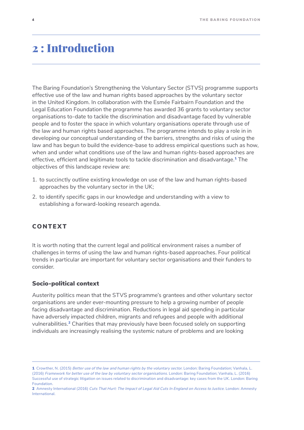# <span id="page-5-0"></span>2 : Introduction

The Baring Foundation's Strengthening the Voluntary Sector (STVS) programme supports effective use of the law and human rights based approaches by the voluntary sector in the United Kingdom. In collaboration with the Esmée Fairbairn Foundation and the Legal Education Foundation the programme has awarded 36 grants to voluntary sector organisations to-date to tackle the discrimination and disadvantage faced by vulnerable people and to foster the space in which voluntary organisations operate through use of the law and human rights based approaches. The programme intends to play a role in in developing our conceptual understanding of the barriers, strengths and risks of using the law and has begun to build the evidence-base to address empirical questions such as how, when and under what conditions use of the law and human rights-based approaches are effective, efficient and legitimate tools to tackle discrimination and disadvantage.1 The objectives of this landscape review are:

- 1. to succinctly outline existing knowledge on use of the law and human rights-based approaches by the voluntary sector in the UK;
- 2. to identify specific gaps in our knowledge and understanding with a view to establishing a forward-looking research agenda.

## CONTEXT

It is worth noting that the current legal and political environment raises a number of challenges in terms of using the law and human rights-based approaches. Four political trends in particular are important for voluntary sector organisations and their funders to consider.

#### Socio-political context

Austerity politics mean that the STVS programme's grantees and other voluntary sector organisations are under ever-mounting pressure to help a growing number of people facing disadvantage and discrimination. Reductions in legal aid spending in particular have adversely impacted children, migrants and refugees and people with additional vulnerabilities.2 Charities that may previously have been focused solely on supporting individuals are increasingly realising the systemic nature of problems and are looking

<sup>1</sup> Crowther, N. (2015) *Better use of the law and human rights by the voluntary sector*. London: Baring Foundation; Vanhala, L. (2016) *Framework for better use of the law by voluntary sector organisations*. London: Baring Foundation; Vanhala, L. (2016) Successful use of strategic litigation on issues related to discrimination and disadvantage: key cases from the UK. London: Baring Foundation.

<sup>2</sup> Amnesty International (2016) *Cuts That Hurt: The Impact of Legal Aid Cuts In England on Access to Justice*. London: Amnesty International.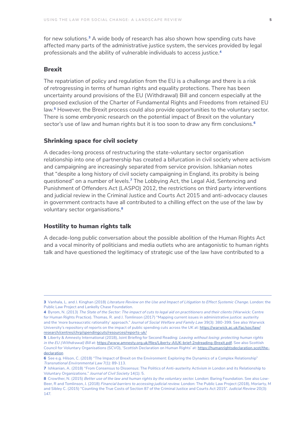for new solutions.3 A wide body of research has also shown how spending cuts have affected many parts of the administrative justice system, the services provided by legal professionals and the ability of vulnerable individuals to access justice.<sup>4</sup>

#### **Brexit**

The repatriation of policy and regulation from the EU is a challenge and there is a risk of retrogressing in terms of human rights and equality protections. There has been uncertainty around provisions of the EU (Withdrawal) Bill and concern especially at the proposed exclusion of the Charter of Fundamental Rights and Freedoms from retained EU law.5 However, the Brexit process could also provide opportunities to the voluntary sector. There is some embryonic research on the potential impact of Brexit on the voluntary sector's use of law and human rights but it is too soon to draw any firm conclusions.<sup>6</sup>

#### Shrinking space for civil society

A decades-long process of restructuring the state-voluntary sector organisation relationship into one of partnership has created a bifurcation in civil society where activism and campaigning are increasingly separated from service provision. Ishkanian notes that "despite a long history of civil society campaigning in England, its probity is being questioned" on a number of levels.7 The Lobbying Act, the Legal Aid, Sentencing and Punishment of Offenders Act (LASPO) 2012, the restrictions on third party interventions and judicial review in the Criminal Justice and Courts Act 2015 and anti-advocacy clauses in government contracts have all contributed to a chilling effect on the use of the law by voluntary sector organisations.<sup>8</sup>

#### Hostility to human rights talk

A decade-long public conversation about the possible abolition of the Human Rights Act and a vocal minority of politicians and media outlets who are antagonistic to human rights talk and have questioned the legitimacy of strategic use of the law have contributed to a

<sup>3</sup> Vanhala, L. and J. Kinghan (2018) *Literature Review on the Use and Impact of Litigation to Effect Systemic Change*. London: the Public Law Project and Lankelly Chase Foundation.

<sup>4</sup> Byrom, N. (2013) *The State of the Sector: The impact of cuts to legal aid on practitioners and their clients* (Warwick: Centre for Human Rights Practice). Thomas, R. and J. Tomlinson (2017) "Mapping current issues in administrative justice: austerity and the 'more bureaucratic rationality' approach." *Journal of Social Welfare and Family Law* 39(3): 380-399. See also Warwick University's repository of reports on the impact of public spending cuts across the UK at: [https://warwick.ac.uk/fac/soc/law/](https://warwick.ac.uk/fac/soc/law/research/centres/chrp/spendingcuts/resources/reports-uk/) [research/centres/chrp/spendingcuts/resources/reports-uk/](https://warwick.ac.uk/fac/soc/law/research/centres/chrp/spendingcuts/resources/reports-uk/)

<sup>5</sup> Liberty & Amnesty International (2018), Joint Briefing for Second Reading: *Leaving without losing: protecting human rights in the EU (Withdrawal) Bill* at:<https://www.amnesty.org.uk/files/Liberty-AIUK-brief-2ndreading-Brexit.pdf>. See also Scottish Council for Voluntary Organisations (SCVO), 'Scottish Declaration on Human Rights' at: [https://humanrightsdeclaration.scot/the](https://humanrightsdeclaration.scot/the-declaration)[declaration](https://humanrightsdeclaration.scot/the-declaration)

<sup>6</sup> See e.g. Hilson, C. (2018) "The Impact of Brexit on the Environment: Exploring the Dynamics of a Complex Relationship" *Transnational Environmental Law* 7(1): 89-113.

<sup>7</sup> Ishkanian, A. (2018) "From Consensus to Dissensus: The Politics of Anti-austerity Activism in London and its Relationship to Voluntary Organizations." *Journal of Civil Society* 14(1): 5.

<sup>8</sup> Crowther, N. (2015) *Better use of the law and human rights by the voluntary sector*. London: Baring Foundation. See also Low-Beer, R and Tomlinson, J. (2018) *Financial barriers to accessing judicial review*. London: The Public Law Project (2018), Moriarty, M and Sibley C. (2015) "Counting the True Costs of Section 87 of the Criminal Justice and Courts Act 2015". *Judicial Review* 20(3): 147.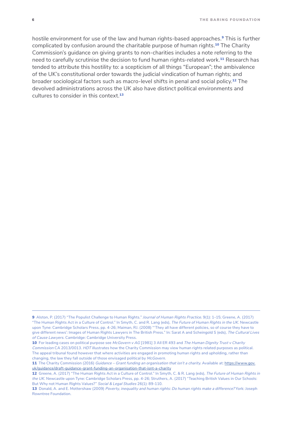hostile environment for use of the law and human rights-based approaches.<sup>9</sup> This is further complicated by confusion around the charitable purpose of human rights.<sup>10</sup> The Charity Commission's guidance on giving grants to non-charities includes a note referring to the need to carefully scrutinise the decision to fund human rights-related work.<sup>11</sup> Research has tended to attribute this hostility to: a scepticism of all things "European"; the ambivalence of the UK's constitutional order towards the judicial vindication of human rights; and broader sociological factors such as macro-level shifts in penal and social policy.<sup>12</sup> The devolved administrations across the UK also have distinct political environments and cultures to consider in this context.<sup>13</sup>

<sup>9</sup> Alston, P. (2017) "The Populist Challenge to Human Rights." *Journal of Human Rights Practice*. 9(1): 1–15; Greene, A. (2017) "The Human Rights Act in a Culture of Control." In Smyth, C. and R. Lang (eds), *The Future of Human Rights in the UK*. Newcastle upon Tyne: Cambridge Scholars Press, pp. 4-26; Maiman, RJ. (2008) "'They all have different policies, so of course they have to give different news': Images of Human Rights Lawyers in The British Press." In: Sarat A and Scheingold S (eds), *The Cultural Lives of Cause Lawyers*. Cambridge: Cambridge University Press.

<sup>10</sup> For leading cases on political purpose see *McGovern v AG* [1981] 3 All ER 493 and *The Human Dignity Trust v Charity Commission* CA 2013/0013. *HDT* illustrates how the Charity Commission may view human rights related purposes as political. The appeal tribunal found however that where activities are engaged in promoting human rights and upholding, rather than changing, the law they fall outside of those envisaged political by *McGovern*.

<sup>11</sup> The Charity Commission (2016) *Guidance – Grant funding an organisation that isn't a charity*. Available at: [https://www.gov.](https://www.gov.uk/guidance/draft-guidance-grant-funding-an-organisation-that-isnt-a-charity) [uk/guidance/draft-guidance-grant-funding-an-organisation-that-isnt-a-charity](https://www.gov.uk/guidance/draft-guidance-grant-funding-an-organisation-that-isnt-a-charity)

<sup>12</sup> Greene, A. (2017) "The Human Rights Act in a Culture of Control." In Smyth, C. & R. Lang (eds), *The Future of Human Rights in the UK*. Newcastle upon Tyne: Cambridge Scholars Press, pp. 4-26; Struthers, A. (2017) "Teaching British Values in Our Schools: But Why not Human Rights Values?" *Social & Legal Studies* 26(1): 89-110.

<sup>13</sup> Donald, A. and E. Mottershaw (2009) *Poverty, inequality and human rights: Do human rights make a difference?* York: Joseph Rowntree Foundation.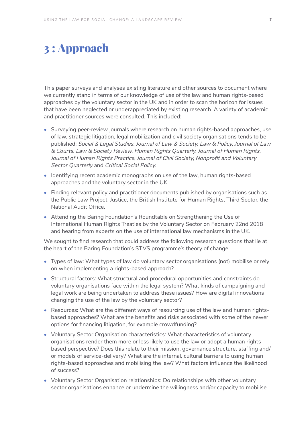# <span id="page-8-0"></span>3 : Approach

This paper surveys and analyses existing literature and other sources to document where we currently stand in terms of our knowledge of use of the law and human rights-based approaches by the voluntary sector in the UK and in order to scan the horizon for issues that have been neglected or underappreciated by existing research. A variety of academic and practitioner sources were consulted. This included:

- Surveying peer-review journals where research on human rights-based approaches, use of law, strategic litigation, legal mobilization and civil society organisations tends to be published: *Social & Legal Studies*, *Journal of Law & Society*, *Law & Policy*, *Journal of Law & Courts*, *Law & Society Review*, *Human Rights Quarterly*, *Journal of Human Rights*, *Journal of Human Rights Practice*, *Journal of Civil Society*, *Nonprofit and Voluntary Sector Quarterly* and *Critical Social Policy*.
- Identifying recent academic monographs on use of the law, human rights-based approaches and the voluntary sector in the UK.
- Finding relevant policy and practitioner documents published by organisations such as the Public Law Project, Justice, the British Institute for Human Rights, Third Sector, the National Audit Office.
- Attending the Baring Foundation's Roundtable on Strengthening the Use of International Human Rights Treaties by the Voluntary Sector on February 22nd 2018 and hearing from experts on the use of international law mechanisms in the UK.

We sought to find research that could address the following research questions that lie at the heart of the Baring Foundation's STVS programme's theory of change.

- Types of law: What types of law do voluntary sector organisations (not) mobilise or rely on when implementing a rights-based approach?
- Structural factors: What structural and procedural opportunities and constraints do voluntary organisations face within the legal system? What kinds of campaigning and legal work are being undertaken to address these issues? How are digital innovations changing the use of the law by the voluntary sector?
- Resources: What are the different ways of resourcing use of the law and human rightsbased approaches? What are the benefits and risks associated with some of the newer options for financing litigation, for example crowdfunding?
- Voluntary Sector Organisation characteristics: What characteristics of voluntary organisations render them more or less likely to use the law or adopt a human rightsbased perspective? Does this relate to their mission, governance structure, staffing and/ or models of service-delivery? What are the internal, cultural barriers to using human rights-based approaches and mobilising the law? What factors influence the likelihood of success?
- Voluntary Sector Organisation relationships: Do relationships with other voluntary sector organisations enhance or undermine the willingness and/or capacity to mobilise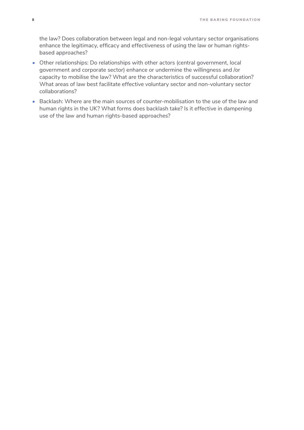the law? Does collaboration between legal and non-legal voluntary sector organisations enhance the legitimacy, efficacy and effectiveness of using the law or human rightsbased approaches?

- Other relationships: Do relationships with other actors (central government, local government and corporate sector) enhance or undermine the willingness and /or capacity to mobilise the law? What are the characteristics of successful collaboration? What areas of law best facilitate effective voluntary sector and non-voluntary sector collaborations?
- Backlash: Where are the main sources of counter-mobilisation to the use of the law and human rights in the UK? What forms does backlash take? Is it effective in dampening use of the law and human rights-based approaches?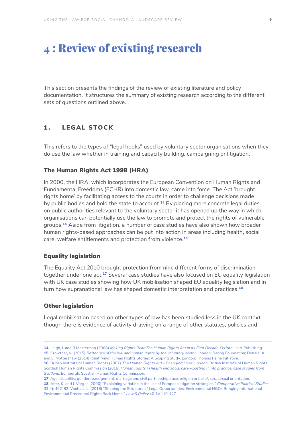# <span id="page-10-0"></span>4 : Review of existing research

This section presents the findings of the review of existing literature and policy documentation. It structures the summary of existing research according to the different sets of questions outlined above.

## 1. LEGAL STOCK

This refers to the types of "legal hooks" used by voluntary sector organisations when they do use the law whether in training and capacity building, campaigning or litigation.

#### The Human Rights Act 1998 (HRA)

In 2000, the HRA, which incorporates the European Convention on Human Rights and Fundamental Freedoms (ECHR) into domestic law, came into force. The Act 'brought rights home' by facilitating access to the courts in order to challenge decisions made by public bodies and hold the state to account.<sup>14</sup> By placing more concrete legal duties on public authorities relevant to the voluntary sector it has opened up the way in which organisations can potentially use the law to promote and protect the rights of vulnerable groups.<sup>15</sup> Aside from litigation, a number of case studies have also shown how broader human rights-based approaches can be put into action in areas including health, social care, welfare entitlements and protection from violence.<sup>16</sup>

#### Equality legislation

The Equality Act 2010 brought protection from nine different forms of discrimination together under one act.<sup>17</sup> Several case studies have also focused on EU equality legislation with UK case studies showing how UK mobilisation shaped EU equality legislation and in turn how supranational law has shaped domestic interpretation and practices.<sup>18</sup>

#### Other legislation

Legal mobilisation based on other types of law has been studied less in the UK context though there is evidence of activity drawing on a range of other statutes, policies and

18 Alter, K. and J. Vargas (2000) "Explaining variation in the use of European litigation strategies." *Comparative Political Studies*  33(4): 452-82; Vanhala, L. (2018) "Shaping the Structure of Legal Opportunities: Environmental NGOs Bringing International Environmental Procedural Rights Back Home." *Law & Policy* 40(1): 110-127.

<sup>14</sup> Leigh, I. and R Masterman (2008) *Making Rights Real: The Human Rights Act in its First Decade*. Oxford: Hart Publishing. 15 Crowther, N. (2015) *Better use of the law and human rights by the voluntary sector*. London: Baring Foundation; Donald, A. and E. Mottershaw (2014) Identifying Human Rights Stories: A Scoping Study. London: Thomas Paine Initiative.

<sup>16</sup> British Institute of Human Rights (2007) *The Human Rights Act - Changing Lives*. London: British Institute of Human Rights; Scottish Human Rights Commission (2016) *Human Rights in health and social care – putting it into practice: case studies from Scotland*. Edinburgh: Scottish Human Rights Commission.

<sup>17</sup> Age, disability, gender reassignment, marriage and civil partnership, race, religion or belief, sex, sexual orientation.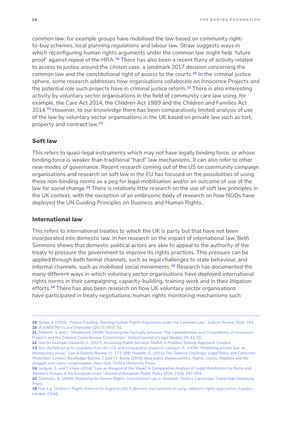common law: for example groups have mobilised the law based on community rightto-buy schemes, local planning regulations and labour law. Straw suggests ways in which reconfiguring human rights arguments under the common law might help 'future proof' against repeal of the HRA.<sup>19</sup> There has also been a recent flurry of activity related to access to justice around the *Unison* case, a landmark 2017 decision concerning the common law and the constitutional right of access to the courts.<sup>20</sup> In the criminal justice sphere, some research addresses how organisations collaborate on Innocence Projects and the potential role such projects have in criminal justice reform.<sup>21</sup> There is also interesting activity by voluntary sector organisations in the field of community care law using, for example, the Care Act 2014, the Children Act 1989 and the Children and Families Act 2014.22 However, to our knowledge there has been comparatively limited analysis of use of the law by voluntary sector organisations in the UK based on private law such as tort, property and contract law.<sup>23</sup>

#### Soft law

This refers to quasi-legal instruments which may not have legally binding force, or whose binding force is weaker than traditional "hard" law mechanisms. It can also refer to other new modes of governance. Recent research coming out of the US on community campaign organisations and research on soft law in the EU has focused on the possibilities of using these non-binding norms as a peg for legal mobilisation and/or an outcome of use of the law for social change.<sup>24</sup> There is relatively little research on the use of soft law principles in the UK context, with the exception of an embryonic body of research on how NGOs have deployed the UN Guiding Principles on Business and Human Rights.

#### International law

This refers to international treaties to which the UK is party but that have not been incorporated into domestic law. In her research on the impact of international law, Beth Simmons shows that domestic political actors are able to appeal to the authority of the treaty to pressure the government to improve its rights practices. This pressure can be applied through both formal channels, such as legal challenges to state behaviour, and informal channels, such as mobilised social movements.<sup>25</sup> Research has documented the many different ways in which voluntary sector organisations have deployed international rights norms in their campaigning, capacity-building, training work and in their litigation efforts.<sup>26</sup> There has also been research on how UK voluntary sector organisations have participated in treaty negotiations, human rights monitoring mechanisms such

23 See the following for examples from the U.S. and comparative research: Lempert, R. (1976) "Mobilizing private law: an introductory essay." *Law & Society Review* 11: 173-189; Howells, G. (2011) *The Tobacco Challenge: Legal Policy and Consumer Protection*. London: Routledge; Barnes, J. and T.F. Burke (2015) *How policy shapes politics: Rights, courts, litigation and the struggle over injury compensation*. New York: Oxford University Press.

<sup>19</sup> Straw, A (2015). "Future Proofing: Running Human Rights Arguments under the Common Law." *Judicial Review* 20(4): 193. 20 *R (UNISON) v Lord Chancellor* [2017] UKSC 51.

<sup>21</sup> Roberts, S. and L. Weathered (2008) "Assisting the Factually Innocent: The Contradictions and Compatibility of Innocence Projects and the Criminal Cases Review Commission." *Oxford Journal of Legal Studies* 29: 43-70.

<sup>22</sup> See for example Clements, L. (2017) *Accessing Public Services Toolkit: A Problem Solving Approach*. Cerebra.

<sup>24</sup> Jacquot, S. and T Vitale (2014) "Law as Weapon of the Weak? A Comparative Analysis of Legal Mobilization by Roma and Women's Groups at the European Level." *Journal of European Public Policy* 2014, 21(4): 587-604.

<sup>25</sup> Simmons, B. (2009) *Mobilizing for Human Rights: International Law in Domestic Politics*. Cambridge: Cambridge University Press.

<sup>26</sup> See e.g. Children's Rights Alliance for England (2017) *Barriers and solutions to using children's rights approaches in policy*. London: CRAE.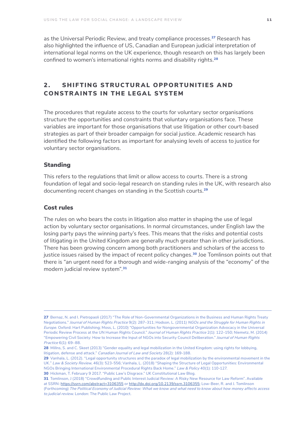<span id="page-12-0"></span>as the Universal Periodic Review, and treaty compliance processes.<sup>27</sup> Research has also highlighted the influence of US, Canadian and European judicial interpretation of international legal norms on the UK experience, though research on this has largely been confined to women's international rights norms and disability rights.<sup>28</sup>

## 2. SHIFTING STRUCTURAL OPPORTUNITIES AND CONSTRAINTS IN THE LEGAL SYSTEM

The procedures that regulate access to the courts for voluntary sector organisations structure the opportunities and constraints that voluntary organisations face. These variables are important for those organisations that use litigation or other court-based strategies as part of their broader campaign for social justice. Academic research has identified the following factors as important for analysing levels of access to justice for voluntary sector organisations.

#### Standing

This refers to the regulations that limit or allow access to courts. There is a strong foundation of legal and socio-legal research on standing rules in the UK, with research also documenting recent changes on standing in the Scottish courts.<sup>29</sup>

#### Cost rules

The rules on who bears the costs in litigation also matter in shaping the use of legal action by voluntary sector organisations. In normal circumstances, under English law the losing party pays the winning party's fees. This means that the risks and potential costs of litigating in the United Kingdom are generally much greater than in other jurisdictions. There has been growing concern among both practitioners and scholars of the access to justice issues raised by the impact of recent policy changes.<sup>30</sup> Joe Tomlinson points out that there is "an urgent need for a thorough and wide-ranging analysis of the "economy" of the modern judicial review system".<sup>31</sup>

<sup>27</sup> Bernaz, N. and I. Pietropaoli (2017) "The Role of Non-Governmental Organizations in the Business and Human Rights Treaty Negotiations." *Journal of Human Rights Practice* 9(2): 287–311; Hodson, L. (2011) *NGOs and the Struggle for Human Rights in Europe*. Oxford: Hart Publishing; Moss, L. (2010) "Opportunities for Nongovernmental Organization Advocacy in the Universal Periodic Review Process at the UN Human Rights Council." *Journal of Human Rights Practice* 2(1): 122–150; Niemetz, M. (2014) "Empowering Civil Society: How to Increase the Input of NGOs into Security Council Deliberation." *Journal of Human Rights Practice* 6(1): 69–88.

<sup>28</sup> Millns, S. and C. Skeet (2013) "Gender equality and legal mobilization in the United Kingdom: using rights for lobbying, litigation, defense and attack." *Canadian Journal of Law and Society* 28(2): 169-188.

<sup>29</sup> Vanhala, L. (2012). "Legal opportunity structures and the paradox of legal mobilization by the environmental movement in the UK." *Law & Society Review*, 46(3): 523-556; Vanhala, L. (2018) "Shaping the Structure of Legal Opportunities: Environmental NGOs Bringing International Environmental Procedural Rights Back Home." *Law & Policy* 40(1): 110-127.

<sup>30</sup> Hickman, T. February 9 2017. "Public Law's Disgrace." UK Constitutional Law Blog.

<sup>31</sup> Tomlinson, J (2018) "Crowdfunding and Public Interest Judicial Review: A Risky New Resource for Law Reform". Available at SSRN: <https://ssrn.com/abstract=3106355> or <http://dx.doi.org/10.2139/ssrn.3106355>; Low-Beer, R. and J. Tomlinson (Forthcoming) *The Political Economy of Judicial Review: What we know and what need to know about how money affects access to judicial review*. London: The Public Law Project.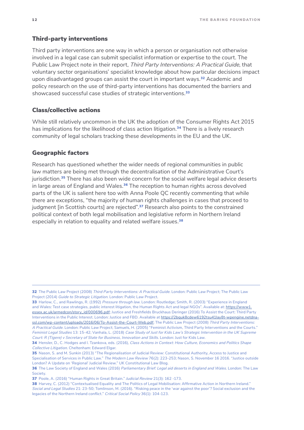#### Third-party interventions

Third party interventions are one way in which a person or organisation not otherwise involved in a legal case can submit specialist information or expertise to the court. The Public Law Project note in their report, *Third Party Interventions: A Practical Guide*, that voluntary sector organisations' specialist knowledge about how particular decisions impact upon disadvantaged groups can assist the court in important ways.<sup>32</sup> Academic and policy research on the use of third-party interventions has documented the barriers and showcased successful case studies of strategic interventions.<sup>33</sup>

## Class/collective actions

While still relatively uncommon in the UK the adoption of the Consumer Rights Act 2015 has implications for the likelihood of class action litigation.<sup>34</sup> There is a lively research community of legal scholars tracking these developments in the EU and the UK.

#### Geographic factors

Research has questioned whether the wider needs of regional communities in public law matters are being met through the decentralisation of the Administrative Court's jurisdiction.<sup>35</sup> There has also been wide concern for the social welfare legal advice deserts in large areas of England and Wales.<sup>36</sup> The reception to human rights across devolved parts of the UK is salient here too with Anna Poole QC recently commenting that while there are exceptions, "the majority of human rights challenges in cases that proceed to judgment [in Scottish courts] are rejected".<sup>37</sup> Research also points to the constrained political context of both legal mobilisation and legislative reform in Northern Ireland especially in relation to equality and related welfare issues.<sup>38</sup>

<sup>32</sup> The Public Law Project (2008) *Third Party Interventions: A Practical Guide*. London: Public Law Project; The Public Law Project (2014) *Guide to Strategic Litigation*. London: Public Law Project.

<sup>33</sup> Harlow, C., and Rawlings, R. (1992) *Pressure through law*. London: Routledge; Smith, R. (2003) "Experience in England and Wales: Test case strategies, public interest litigation, the Human Rights Act and legal NGOs". Available at: [https://www1.](https://www1.essex.ac.uk/armedcon/story_id/000696.pdf) [essex.ac.uk/armedcon/story\\_id/000696.pdf](https://www1.essex.ac.uk/armedcon/story_id/000696.pdf); Justice and Freshfields Bruckhaus Deringer (2016) To Assist the Court: Third Party Interventions in the Public Interest. London: Justice and FBD. Available at [https://2bquk8cdew6192tsu41lay8t-wpengine.netdna](https://2bquk8cdew6192tsu41lay8t-wpengine.netdna-ssl.com/wp-content/uploads/2016/06/To-Assist-the-Co)[ssl.com/wp-content/uploads/2016/06/To-Assist-the-Court-Web.pdf](https://2bquk8cdew6192tsu41lay8t-wpengine.netdna-ssl.com/wp-content/uploads/2016/06/To-Assist-the-Co); The Public Law Project (2008) *Third Party Interventions: A Practical Guide*. London: Public Law Project; Samuels, H. (2005) "Feminist Activism, Third Party Interventions and the Courts." *Feminist Legal Studies* 13: 15-42; Vanhala, L. (2018) *Case Study of Just for Kids Law's Strategic Intervention in the UK Supreme Court: R (Tigere) v Secretary of State for Business, Innovation and Skills*. London: Just for Kids Law.

<sup>34</sup> Hensler, D., C. Hodges and I. Tzankova, eds. (2016), *Class Actions in Context: How Culture, Economics and Politics Shape Collective Litigation*. Cheltenham: Edward Elgar.

<sup>35</sup> Nason, S. and M. Sunkin (2013) "The Regionalisation of Judicial Review: Constitutional Authority, Access to Justice and Specialisation of Services in Public Law." *The Modern Law Review* 76(2): 223-253; Nason, S. November 16 2016. "Justice outside London? A Update on 'Regional' Judicial Review." UK Constitutional Law Blog.

<sup>36</sup> The Law Society of England and Wales (2016) *Parliamentary Brief: Legal aid deserts in England and Wales*. London: The Law Society.

<sup>37</sup> Poole, A. (2016) "Human Rights in Great Britain." *Judicial Review* 21(3): 162 -173.

<sup>38</sup> Harvey, C. (2012) "Contextualised Equality and The Politics of Legal Mobilisation: Affirmative Action in Northern Ireland." *Social and Legal Studies* 21: 23-50; Tomlinson, M. (2016). "Risking peace in the 'war against the poor'? Social exclusion and the legacies of the Northern Ireland conflict." *Critical Social Policy* 36(1): 104-123.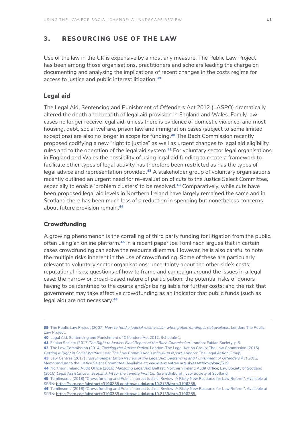## <span id="page-14-0"></span>3. RESOURCING USE OF THE LAW

Use of the law in the UK is expensive by almost any measure. The Public Law Project has been among those organisations, practitioners and scholars leading the charge on documenting and analysing the implications of recent changes in the costs regime for access to justice and public interest litigation.<sup>39</sup>

#### Legal aid

The Legal Aid, Sentencing and Punishment of Offenders Act 2012 (LASPO) dramatically altered the depth and breadth of legal aid provision in England and Wales. Family law cases no longer receive legal aid, unless there is evidence of domestic violence, and most housing, debt, social welfare, prison law and immigration cases (subject to some limited exceptions) are also no longer in scope for funding.<sup>40</sup> The Bach Commission recently proposed codifying a new "right to justice" as well as urgent changes to legal aid eligibility rules and to the operation of the legal aid system.<sup>41</sup> For voluntary sector legal organisations in England and Wales the possibility of using legal aid funding to create a framework to facilitate other types of legal activity has therefore been restricted as has the types of legal advice and representation provided.<sup>42</sup> A stakeholder group of voluntary organisations recently outlined an urgent need for re-evaluation of cuts to the Justice Select Committee, especially to enable 'problem clusters' to be resolved.<sup>43</sup> Comparatively, while cuts have been proposed legal aid levels in Northern Ireland have largely remained the same and in Scotland there has been much less of a reduction in spending but nonetheless concerns about future provision remain.<sup>44</sup>

#### **Crowdfunding**

A growing phenomenon is the corralling of third party funding for litigation from the public, often using an online platform.<sup>45</sup> In a recent paper Joe Tomlinson arques that in certain cases crowdfunding can solve the resource dilemma. However, he is also careful to note the multiple risks inherent in the use of crowdfunding. Some of these are particularly relevant to voluntary sector organisations: uncertainty about the other side's costs; reputational risks; questions of how to frame and campaign around the issues in a legal case; the narrow or broad-based nature of participation; the potential risks of donors having to be identified to the courts and/or being liable for further costs; and the risk that government may take effective crowdfunding as an indicator that public funds (such as legal aid) are not necessary.<sup>46</sup>

43 Law Centres (2017) *Post Implementation Review of the Legal Aid, Sentencing and Punishment of Offenders Act 2012*, Memorandum to the Justice Select Committee. Available at: [www.lawcentres.org.uk/asset/download/619](http://www.lawcentres.org.uk/asset/download/619)

<sup>39</sup> The Public Law Project (2007) *How to fund a judicial review claim when public funding is not available*. London: The Public Law Project.

<sup>40</sup> Legal Aid, Sentencing and Punishment of Offenders Act 2012, Schedule 1.

<sup>41</sup> Fabian Society (2017)*The Right to Justice: Final Report of the Bach Commission*. London: Fabian Society, p.6.

<sup>42</sup> The Low Commission (2014) *Tackling the Advice Deficit*. London: The Legal Action Group; The Low Commission (2015) *Getting it Right in Social Welfare Law: The Low Commission's follow-up report*. London: The Legal Action Group.

<sup>44</sup> Northern Ireland Audit Office (2016) *Managing Legal Aid*. Belfast: Northern Ireland Audit Office; Law Society of Scotland (2015) *Legal Assistance in Scotland: Fit for the Twenty First Century*. Edinburgh: Law Society of Scotland.

<sup>45</sup> Tomlinson, J (2018) "Crowdfunding and Public Interest Judicial Review: A Risky New Resource for Law Reform". Available at SSRN:<https://ssrn.com/abstract=3106355 or http://dx.doi.org/10.2139/ssrn.3106355.>

<sup>46</sup> Tomlinson, J (2018) "Crowdfunding and Public Interest Judicial Review: A Risky New Resource for Law Reform". Available at SSRN:<https://ssrn.com/abstract=3106355 or http://dx.doi.org/10.2139/ssrn.3106355.>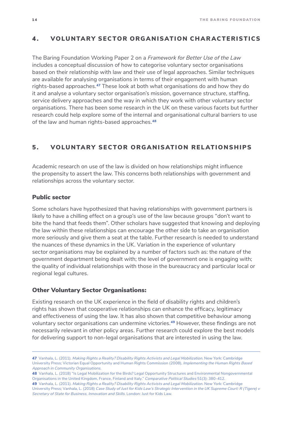## <span id="page-15-0"></span>4 . VOLUNTARY SECTOR ORGANISATION CHARACTERISTICS

The Baring Foundation Working Paper 2 on a *Framework for Better Use of the Law*  includes a conceptual discussion of how to categorise voluntary sector organisations based on their relationship with law and their use of legal approaches. Similar techniques are available for analysing organisations in terms of their engagement with human rights-based approaches.<sup>47</sup> These look at both what organisations do and how they do it and analyse a voluntary sector organisation's mission, governance structure, staffing, service delivery approaches and the way in which they work with other voluntary sector organisations. There has been some research in the UK on these various facets but further research could help explore some of the internal and organisational cultural barriers to use of the law and human rights-based approaches.<sup>48</sup>

## 5 . VOLUNTARY SECTOR ORGANISATION RELATIONSHIPS

Academic research on use of the law is divided on how relationships might influence the propensity to assert the law. This concerns both relationships with government and relationships across the voluntary sector.

### Public sector

Some scholars have hypothesized that having relationships with government partners is likely to have a chilling effect on a group's use of the law because groups "don't want to bite the hand that feeds them". Other scholars have suggested that knowing and deploying the law within these relationships can encourage the other side to take an organisation more seriously and give them a seat at the table. Further research is needed to understand the nuances of these dynamics in the UK. Variation in the experience of voluntary sector organisations may be explained by a number of factors such as: the nature of the government department being dealt with; the level of government one is engaging with; the quality of individual relationships with those in the bureaucracy and particular local or regional legal cultures.

#### Other Voluntary Sector Organisations:

Existing research on the UK experience in the field of disability rights and children's rights has shown that cooperative relationships can enhance the efficacy, legitimacy and effectiveness of using the law. It has also shown that competitive behaviour among voluntary sector organisations can undermine victories.49 However, these findings are not necessarily relevant in other policy areas. Further research could explore the best models for delivering support to non-legal organisations that are interested in using the law.

<sup>47</sup> Vanhala, L. (2011). *Making Rights a Reality? Disability Rights Activists and Legal Mobilization*. New York: Cambridge University Press; Victorian Equal Opportunity and Human Rights Commission (2008), *Implementing the Human Rights Based Approach in Community Organisations*.

<sup>48</sup> Vanhala, L. (2018) "Is Legal Mobilization for the Birds? Legal Opportunity Structures and Environmental Nongovernmental Organisations in the United Kingdom, France, Finland and Italy." *Comparative Political Studies* 51(3): 380-412.

<sup>49</sup> Vanhala, L. (2011). *Making Rights a Reality? Disability Rights Activists and Legal Mobilization*. New York: Cambridge University Press; Vanhala, L. (2018) *Case Study of Just for Kids Law's Strategic Intervention in the UK Supreme Court: R (Tigere) v Secretary of State for Business, Innovation and Skills*. London: Just for Kids Law.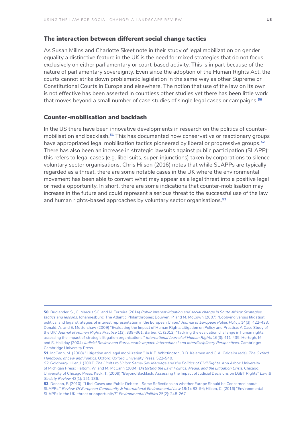#### The interaction between different social change tactics

As Susan Millns and Charlotte Skeet note in their study of legal mobilization on gender equality a distinctive feature in the UK is the need for mixed strategies that do not focus exclusively on either parliamentary or court-based activity. This is in part because of the nature of parliamentary sovereignty. Even since the adoption of the Human Rights Act, the courts cannot strike down problematic legislation in the same way as other Supreme or Constitutional Courts in Europe and elsewhere. The notion that use of the law on its own is not effective has been asserted in countless other studies yet there has been little work that moves beyond a small number of case studies of single legal cases or campaigns.<sup>50</sup>

### Counter-mobilisation and backlash

In the US there have been innovative developments in research on the politics of countermobilisation and backlash.<sup>51</sup> This has documented how conservative or reactionary groups have appropriated legal mobilisation tactics pioneered by liberal or progressive groups.<sup>52</sup> There has also been an increase in strategic lawsuits against public participation (SLAPP): this refers to legal cases (e.g. libel suits, super-injunctions) taken by corporations to silence voluntary sector organisations. Chris Hilson (2016) notes that while SLAPPs are typically regarded as a threat, there are some notable cases in the UK where the environmental movement has been able to convert what may appear as a legal threat into a positive legal or media opportunity. In short, there are some indications that counter-mobilisation may increase in the future and could represent a serious threat to the successful use of the law and human rights-based approaches by voluntary sector organisations.<sup>53</sup>

<sup>50</sup> Budlender, S., G. Marcus SC, and N. Ferreira (2014) *Public interest litigation and social change in South Africa: Strategies, tactics and lessons*. Johannesburg: The Atlantic Philanthropies; Bouwen, P. and M. McCown (2007) "Lobbying versus litigation: political and legal strategies of interest representation in the European Union." *Journal of European Public Policy*, 14(3): 422-433; Donald, A. and E. Mottershaw (2009) "Evaluating the Impact of Human Rights Litigation on Policy and Practice: A Case Study of the UK" *Journal of Human Rights Practice* 1(3): 339–361; Barber, C. (2012) "Tackling the evaluation challenge in human rights: assessing the impact of strategic litigation organisations." *International Journal of Human Rights* 16(3): 411-435; Hertogh, M and S. Halliday (2004) *Judicial Review and Bureaucratic Impact: International and Interdisciplinary Perspectives*. Cambridge: Cambridge University Press.

<sup>51</sup> McCann, M. (2008) "Litigation and legal mobilization." In K.E. Whittington, R.D. Kelemen and G.A. Caldeira (eds). *The Oxford Handbook of Law and Politics*. Oxford: Oxford University Press, 522-540.

*<sup>52</sup>* Goldberg-Hiller, J. (2002) *The Limits to Union: Same-Sex Marriage and the Politics of Civil Rights*. Ann Arbor: University of Michigan Press; Haltom, W. and M. McCann (2004) *Distorting the Law: Politics, Media, and the Litigation Crisis*. Chicago: University of Chicago Press; Keck, T. (2009) "Beyond Backlash: Assessing the Impact of Judicial Decisions on LGBT Rights" *Law & Society Review* 43(1): 151-186.

<sup>53</sup> Donson, F. (2010). "Libel Cases and Public Debate – Some Reflections on whether Europe Should be Concerned about SLAPPs." *Review Of European Community & International Environmental Law* 19(1): 83-94; Hilson, C. (2016) "Environmental SLAPPs in the UK: threat or opportunity?" *Environmental Politics* 25(2): 248-267.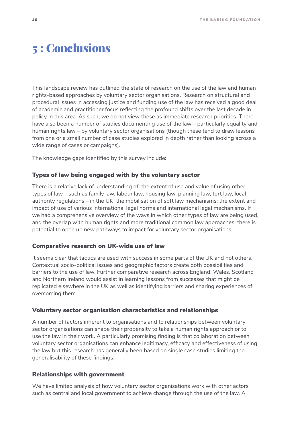# <span id="page-17-0"></span>5 : Conclusions

This landscape review has outlined the state of research on the use of the law and human rights-based approaches by voluntary sector organisations. Research on structural and procedural issues in accessing justice and funding use of the law has received a good deal of academic and practitioner focus reflecting the profound shifts over the last decade in policy in this area. As such, we do not view these as immediate research priorities. There have also been a number of studies documenting use of the law – particularly equality and human rights law – by voluntary sector organisations (though these tend to draw lessons from one or a small number of case studies explored in depth rather than looking across a wide range of cases or campaigns).

The knowledge gaps identified by this survey include:

#### Types of law being engaged with by the voluntary sector

There is a relative lack of understanding of: the extent of use and value of using other types of law – such as family law, labour law, housing law, planning law, tort law, local authority regulations – in the UK; the mobilisation of soft law mechanisms; the extent and impact of use of various international legal norms and international legal mechanisms. If we had a comprehensive overview of the ways in which other types of law are being used, and the overlap with human rights and more traditional common law approaches, there is potential to open up new pathways to impact for voluntary sector organisations.

#### Comparative research on UK-wide use of law

It seems clear that tactics are used with success in some parts of the UK and not others. Contextual socio-political issues and geographic factors create both possibilities and barriers to the use of law. Further comparative research across England, Wales, Scotland and Northern Ireland would assist in learning lessons from successes that might be replicated elsewhere in the UK as well as identifying barriers and sharing experiences of overcoming them.

#### Voluntary sector organisation characteristics and relationships

A number of factors inherent to organisations and to relationships between voluntary sector organisations can shape their propensity to take a human rights approach or to use the law in their work. A particularly promising finding is that collaboration between voluntary sector organisations can enhance legitimacy, efficacy and effectiveness of using the law but this research has generally been based on single case studies limiting the generalisability of these findings.

#### Relationships with government

We have limited analysis of how voluntary sector organisations work with other actors such as central and local government to achieve change through the use of the law. A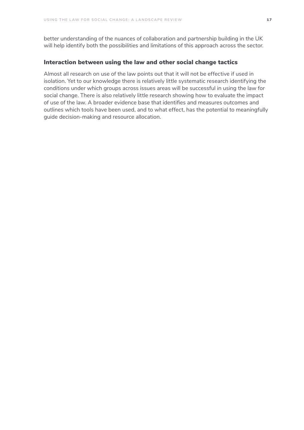better understanding of the nuances of collaboration and partnership building in the UK will help identify both the possibilities and limitations of this approach across the sector.

## Interaction between using the law and other social change tactics

Almost all research on use of the law points out that it will not be effective if used in isolation. Yet to our knowledge there is relatively little systematic research identifying the conditions under which groups across issues areas will be successful in using the law for social change. There is also relatively little research showing how to evaluate the impact of use of the law. A broader evidence base that identifies and measures outcomes and outlines which tools have been used, and to what effect, has the potential to meaningfully guide decision-making and resource allocation.